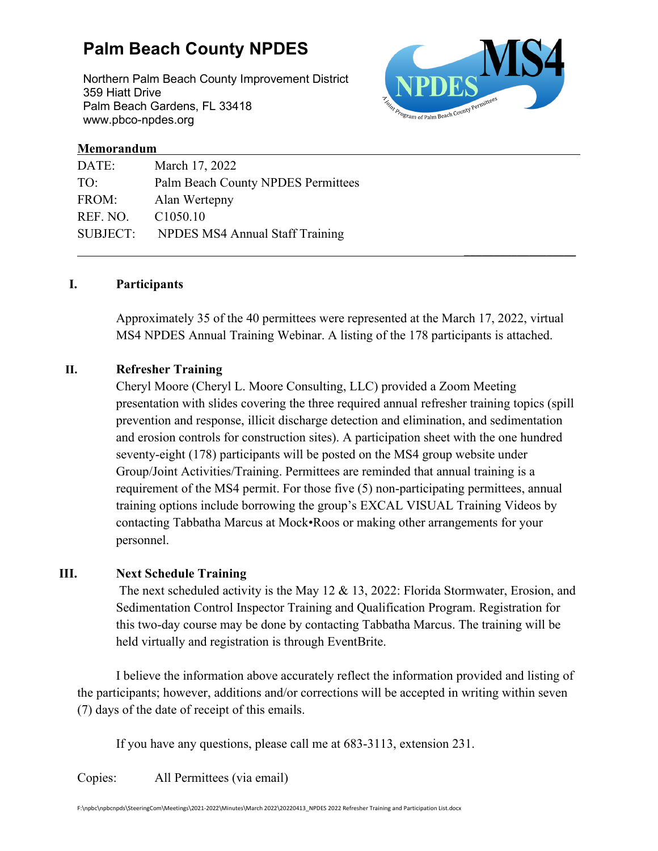# **Palm Beach County NPDES**

Northern Palm Beach County Improvement District 359 Hiatt Drive Palm Beach Gardens, FL 33418 www.pbco-npdes.org



\_\_\_\_\_\_\_\_\_\_\_\_\_\_\_\_\_\_\_

#### **Memorandum**

| DATE:           | March 17, 2022                            |
|-----------------|-------------------------------------------|
| TO:             | <b>Palm Beach County NPDES Permittees</b> |
| FROM:           | Alan Wertepny                             |
| REF. NO.        | C <sub>1050.10</sub>                      |
| <b>SUBJECT:</b> | NPDES MS4 Annual Staff Training           |
|                 |                                           |

#### **I. Participants**

Approximately 35 of the 40 permittees were represented at the March 17, 2022, virtual MS4 NPDES Annual Training Webinar. A listing of the 178 participants is attached.

#### **II. Refresher Training**

Cheryl Moore (Cheryl L. Moore Consulting, LLC) provided a Zoom Meeting presentation with slides covering the three required annual refresher training topics (spill prevention and response, illicit discharge detection and elimination, and sedimentation and erosion controls for construction sites). A participation sheet with the one hundred seventy-eight (178) participants will be posted on the MS4 group website under Group/Joint Activities/Training. Permittees are reminded that annual training is a requirement of the MS4 permit. For those five (5) non-participating permittees, annual training options include borrowing the group's EXCAL VISUAL Training Videos by contacting Tabbatha Marcus at Mock•Roos or making other arrangements for your personnel.

#### **III. Next Schedule Training**

The next scheduled activity is the May 12 & 13, 2022: Florida Stormwater, Erosion, and Sedimentation Control Inspector Training and Qualification Program. Registration for this two-day course may be done by contacting Tabbatha Marcus. The training will be held virtually and registration is through EventBrite.

I believe the information above accurately reflect the information provided and listing of the participants; however, additions and/or corrections will be accepted in writing within seven (7) days of the date of receipt of this emails.

If you have any questions, please call me at 683-3113, extension 231.

Copies: All Permittees (via email)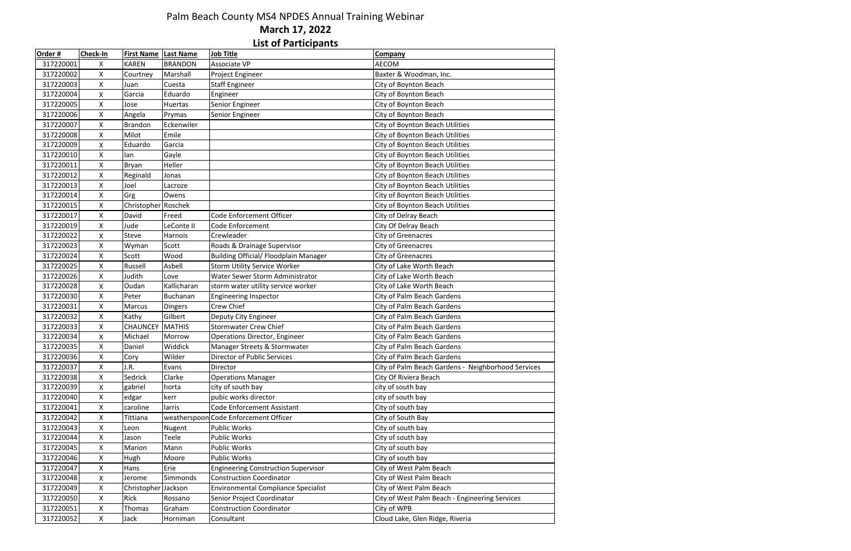| Order#    | <b>Check-In</b> | <b>First Name</b>   | <b>Last Name</b> | <b>Job Title</b>                           | Company                                            |
|-----------|-----------------|---------------------|------------------|--------------------------------------------|----------------------------------------------------|
| 317220001 | X               | <b>KAREN</b>        | <b>BRANDON</b>   | Associate VP                               | <b>AECOM</b>                                       |
| 317220002 | x               | Courtney            | Marshall         | Project Engineer                           | Baxter & Woodman, Inc.                             |
| 317220003 | Χ               | Juan                | Cuesta           | Staff Engineer                             | City of Boynton Beach                              |
| 317220004 | X               | Garcia              | Eduardo          | Engineer                                   | City of Boynton Beach                              |
| 317220005 | X               | Jose                | Huertas          | Senior Engineer                            | City of Boynton Beach                              |
| 317220006 | X               | Angela              | Prymas           | Senior Engineer                            | City of Boynton Beach                              |
| 317220007 | X               | Brandon             | Eckenwiler       |                                            | City of Boynton Beach Utilities                    |
| 317220008 | X               | Milot               | Emile            |                                            | City of Boynton Beach Utilities                    |
| 317220009 | X               | Eduardo             | Garcia           |                                            | City of Boynton Beach Utilities                    |
| 317220010 | Χ               | lan                 | Gayle            |                                            | City of Boynton Beach Utilities                    |
| 317220011 | X               | <b>Bryan</b>        | Heller           |                                            | City of Boynton Beach Utilities                    |
| 317220012 | X               | Reginald            | Jonas            |                                            | City of Boynton Beach Utilities                    |
| 317220013 | X               | Joel                | Lacroze          |                                            | City of Boynton Beach Utilities                    |
| 317220014 | X               | Grg                 | Owens            |                                            | City of Boynton Beach Utilities                    |
| 317220015 | Χ               | Christopher Roschek |                  |                                            | City of Boynton Beach Utilities                    |
| 317220017 | X               | David               | Freed            | Code Enforcement Officer                   | City of Delray Beach                               |
| 317220019 | X               | Jude                | LeConte II       | Code Enforcement                           | City Of Delray Beach                               |
| 317220022 | X               | <b>Steve</b>        | Harnois          | Crewleader                                 | City of Greenacres                                 |
| 317220023 | X               | Wyman               | Scott            | Roads & Drainage Supervisor                | City of Greenacres                                 |
| 317220024 | X               | Scott               | Wood             | Building Official/ Floodplain Manager      | City of Greenacres                                 |
| 317220025 | X               | Russell             | Asbell           | Storm Utility Service Worker               | City of Lake Worth Beach                           |
| 317220026 | X               | Judith              | Love             | Water Sewer Storm Administrator            | City of Lake Worth Beach                           |
| 317220028 | X               | Oudan               | Kallicharan      | storm water utility service worker         | City of Lake Worth Beach                           |
| 317220030 | X               | Peter               | <b>Buchanan</b>  | <b>Engineering Inspector</b>               | City of Palm Beach Gardens                         |
| 317220031 | X               | <b>Marcus</b>       | Dingers          | <b>Crew Chief</b>                          | City of Palm Beach Gardens                         |
| 317220032 | X               | Kathy               | Gilbert          | Deputy City Engineer                       | City of Palm Beach Gardens                         |
| 317220033 | X               | <b>CHAUNCEY</b>     | <b>MATHIS</b>    | <b>Stormwater Crew Chief</b>               | City of Palm Beach Gardens                         |
| 317220034 | X               | Michael             | Morrow           | <b>Operations Director, Engineer</b>       | City of Palm Beach Gardens                         |
| 317220035 | X               | Daniel              | Widdick          | Manager Streets & Stormwater               | City of Palm Beach Gardens                         |
| 317220036 | X               | Cory                | Wilder           | <b>Director of Public Services</b>         | <b>City of Palm Beach Gardens</b>                  |
| 317220037 | X               | J.R.                | Evans            | Director                                   | City of Palm Beach Gardens - Neighborhood Services |
| 317220038 | Χ               | Sedrick             | Clarke           | <b>Operations Manager</b>                  | City Of Riviera Beach                              |
| 317220039 | X               | gabriel             | horta            | city of south bay                          | city of south bay                                  |
| 317220040 | Χ               | edgar               | kerr             | pubic works director                       | city of south bay                                  |
| 317220041 | X               | caroline            | larris           | <b>Code Enforcement Assistant</b>          | City of south bay                                  |
| 317220042 | X               | Tittiana            |                  | weatherspoon Code Enforcement Officer      | City of South Bay                                  |
| 317220043 | X               | Leon                | Nugent           | <b>Public Works</b>                        | City of south bay                                  |
| 317220044 | X               | Jason               | Teele            | <b>Public Works</b>                        | City of south bay                                  |
| 317220045 | X               | Marion              | Mann             | Public Works                               | City of south bay                                  |
| 317220046 | X               | <b>Hugh</b>         | Moore            | <b>Public Works</b>                        | City of south bay                                  |
| 317220047 | X               | Hans                | Erie             | <b>Engineering Construction Supervisor</b> | City of West Palm Beach                            |
| 317220048 | Χ               | Jerome              | Simmonds         | <b>Construction Coordinator</b>            | City of West Palm Beach                            |
| 317220049 | X               | Christopher         | Jackson          | <b>Environmental Compliance Specialist</b> | City of West Palm Beach                            |
| 317220050 | X               | Rick                | Rossano          | Senior Project Coordinator                 | City of West Palm Beach - Engineering Services     |
| 317220051 | X               | Thomas              | Graham           | <b>Construction Coordinator</b>            | City of WPB                                        |
| 317220052 | X               | Jack                | Horniman         | Consultant                                 | Cloud Lake, Glen Ridge, Riveria                    |

### Palm Beach County MS4 NPDES Annual Training Webinar**March 17, 2022 List of Participants**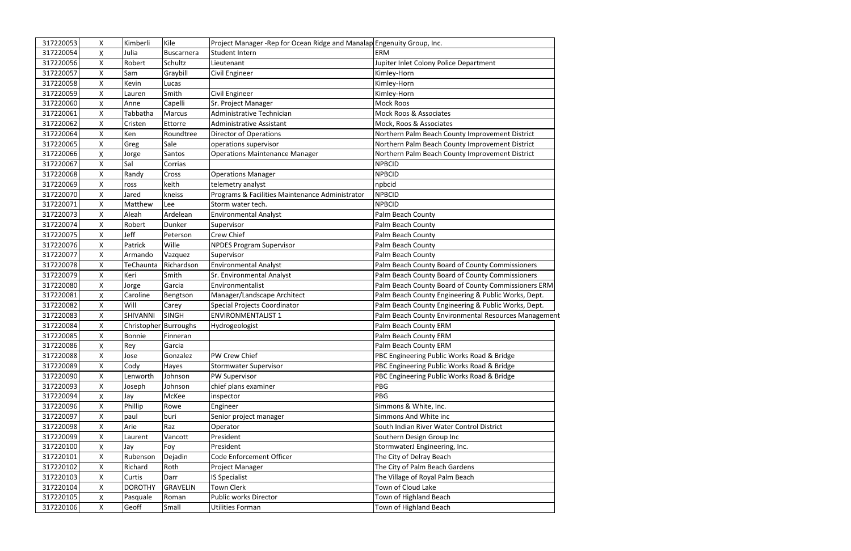| 317220053 | X                  | Kimberli              | Kile            | Project Manager-Rep for Ocean Ridge and Manalap Engenuity Group, Inc. |                                                      |
|-----------|--------------------|-----------------------|-----------------|-----------------------------------------------------------------------|------------------------------------------------------|
| 317220054 | X                  | Julia                 | Buscarnera      | Student Intern                                                        | <b>ERM</b>                                           |
| 317220056 | $\pmb{\mathsf{X}}$ | Robert                | Schultz         | Lieutenant                                                            | Jupiter Inlet Colony Police Department               |
| 317220057 | X                  | Sam                   | Graybill        | Civil Engineer                                                        | Kimley-Horn                                          |
| 317220058 | $\mathsf{X}$       | Kevin                 | Lucas           |                                                                       | Kimley-Horn                                          |
| 317220059 | X                  | Lauren                | Smith           | Civil Engineer                                                        | Kimley-Horn                                          |
| 317220060 | X                  | Anne                  | Capelli         | Sr. Project Manager                                                   | Mock Roos                                            |
| 317220061 | X                  | Tabbatha              | <b>Marcus</b>   | Administrative Technician                                             | Mock Roos & Associates                               |
| 317220062 | X                  | Cristen               | Ettorre         | <b>Administrative Assistant</b>                                       | Mock, Roos & Associates                              |
| 317220064 | X                  | Ken                   | Roundtree       | Director of Operations                                                | Northern Palm Beach County Improvement District      |
| 317220065 | X                  | Greg                  | Sale            | operations supervisor                                                 | Northern Palm Beach County Improvement District      |
| 317220066 | X                  | Jorge                 | Santos          | <b>Operations Maintenance Manager</b>                                 | Northern Palm Beach County Improvement District      |
| 317220067 | X                  | Sal                   | Corrias         |                                                                       | <b>NPBCID</b>                                        |
| 317220068 | $\mathsf{X}$       | Randy                 | <b>Cross</b>    | <b>Operations Manager</b>                                             | <b>NPBCID</b>                                        |
| 317220069 | $\pmb{\times}$     | ross                  | keith           | telemetry analyst                                                     | npbcid                                               |
| 317220070 | $\mathsf{X}$       | Jared                 | kneiss          | Programs & Facilities Maintenance Administrator                       | <b>NPBCID</b>                                        |
| 317220071 | $\mathsf{X}$       | Matthew               | Lee             | Storm water tech.                                                     | <b>NPBCID</b>                                        |
| 317220073 | X                  | Aleah                 | Ardelean        | <b>Environmental Analyst</b>                                          | Palm Beach County                                    |
| 317220074 | $\mathsf{X}$       | Robert                | Dunker          | Supervisor                                                            | Palm Beach County                                    |
| 317220075 | X                  | Jeff                  | Peterson        | Crew Chief                                                            | Palm Beach County                                    |
| 317220076 | $\mathsf{X}$       | Patrick               | Wille           | <b>NPDES Program Supervisor</b>                                       | Palm Beach County                                    |
| 317220077 | X                  | Armando               | Vazquez         | Supervisor                                                            | Palm Beach County                                    |
| 317220078 | X                  | TeChaunta             | Richardson      | <b>Environmental Analyst</b>                                          | Palm Beach County Board of County Commissioners      |
| 317220079 | X                  | Keri                  | Smith           | <b>Sr. Environmental Analyst</b>                                      | Palm Beach County Board of County Commissioners      |
| 317220080 | $\pmb{\mathsf{X}}$ | Jorge                 | Garcia          | Environmentalist                                                      | Palm Beach County Board of County Commissioners ERM  |
| 317220081 | $\mathsf{X}$       | Caroline              | Bengtson        | Manager/Landscape Architect                                           | Palm Beach County Engineering & Public Works, Dept.  |
| 317220082 | X                  | Will                  | Carey           | Special Projects Coordinator                                          | Palm Beach County Engineering & Public Works, Dept.  |
| 317220083 | X                  | SHIVANNI              | <b>SINGH</b>    | <b>ENVIRONMENTALIST 1</b>                                             | Palm Beach County Environmental Resources Management |
| 317220084 | X                  | Christopher Burroughs |                 | Hydrogeologist                                                        | Palm Beach County ERM                                |
| 317220085 | X                  | <b>Bonnie</b>         | Finneran        |                                                                       | Palm Beach County ERM                                |
| 317220086 | X                  | Rey                   | Garcia          |                                                                       | Palm Beach County ERM                                |
| 317220088 | X                  | Jose                  | Gonzalez        | PW Crew Chief                                                         | PBC Engineering Public Works Road & Bridge           |
| 317220089 | $\mathsf{X}$       | Cody                  | Hayes           | <b>Stormwater Supervisor</b>                                          | PBC Engineering Public Works Road & Bridge           |
| 317220090 | X                  | Lenworth              | Johnson         | PW Supervisor                                                         | PBC Engineering Public Works Road & Bridge           |
| 317220093 | X                  | Joseph                | Johnson         | chief plans examiner                                                  | PBG                                                  |
| 317220094 | $\mathsf{X}$       | Jay                   | McKee           | inspector                                                             | PBG                                                  |
| 317220096 | X                  | Phillip               | Rowe            | Engineer                                                              | Simmons & White, Inc.                                |
| 317220097 | X                  | paul                  | buri            | Senior project manager                                                | Simmons And White inc                                |
| 317220098 | X                  | Arie                  | Raz             | Operator                                                              | South Indian River Water Control District            |
| 317220099 | X                  | Laurent               | Vancott         | President                                                             | Southern Design Group Inc                            |
| 317220100 | $\pmb{\mathsf{X}}$ | Jay                   | Foy             | President                                                             | StormwaterJ Engineering, Inc.                        |
| 317220101 | X                  | Rubenson              | Dejadin         | Code Enforcement Officer                                              | The City of Delray Beach                             |
| 317220102 | X                  | Richard               | Roth            | Project Manager                                                       | The City of Palm Beach Gardens                       |
| 317220103 | X                  | Curtis                | Darr            | IS Specialist                                                         | The Village of Royal Palm Beach                      |
| 317220104 | X                  | <b>DOROTHY</b>        | <b>GRAVELIN</b> | <b>Town Clerk</b>                                                     | Town of Cloud Lake                                   |
| 317220105 | X                  | Pasquale              | Roman           | Public works Director                                                 | Town of Highland Beach                               |
| 317220106 | $\mathsf{X}$       | Geoff                 | Small           | Utilities Forman                                                      | Town of Highland Beach                               |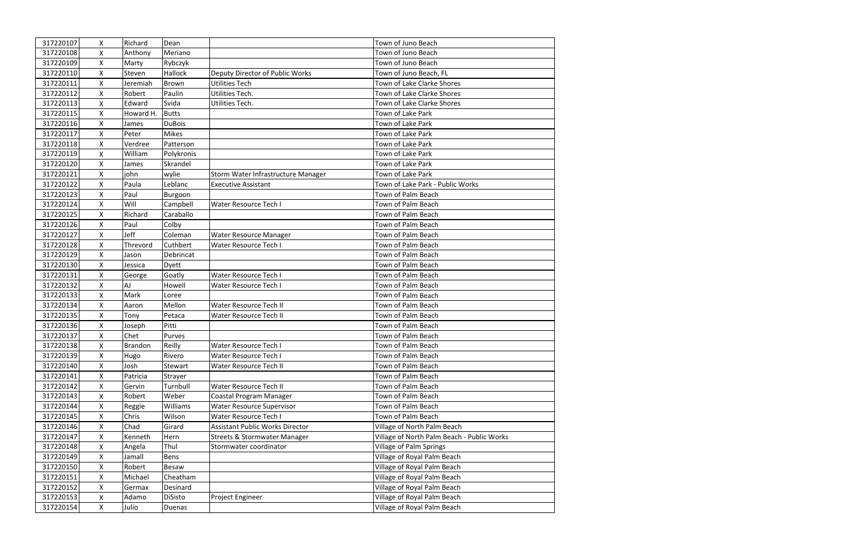| 317220107 | $\mathsf{X}$ | Richard   | Dean          |                                         | Town of Juno Beach                         |
|-----------|--------------|-----------|---------------|-----------------------------------------|--------------------------------------------|
| 317220108 | X            | Anthony   | Meriano       |                                         | Town of Juno Beach                         |
| 317220109 | X            | Marty     | Rybczyk       |                                         | Town of Juno Beach                         |
| 317220110 | X            | Steven    | Hallock       | Deputy Director of Public Works         | Town of Juno Beach, FL                     |
| 317220111 | X            | Jeremiah  | <b>Brown</b>  | <b>Utilities Tech</b>                   | Town of Lake Clarke Shores                 |
| 317220112 | $\mathsf{X}$ | Robert    | Paulin        | Utilities Tech.                         | Town of Lake Clarke Shores                 |
| 317220113 | X            | Edward    | Svida         | Utilities Tech.                         | Town of Lake Clarke Shores                 |
| 317220115 | X            | Howard H. | <b>Butts</b>  |                                         | Town of Lake Park                          |
| 317220116 | X            | James     | <b>DuBois</b> |                                         | Town of Lake Park                          |
| 317220117 | X            | Peter     | <b>Mikes</b>  |                                         | Town of Lake Park                          |
| 317220118 | $\mathsf{X}$ | Verdree   | Patterson     |                                         | Town of Lake Park                          |
| 317220119 | X            | William   | Polykronis    |                                         | Town of Lake Park                          |
| 317220120 | X            | James     | Skrandel      |                                         | Town of Lake Park                          |
| 317220121 | $\mathsf{X}$ | john      | wylie         | Storm Water Infrastructure Manager      | Town of Lake Park                          |
| 317220122 | X            | Paula     | Leblanc       | <b>Executive Assistant</b>              | Town of Lake Park - Public Works           |
| 317220123 | X            | Paul      | Burgoon       |                                         | Town of Palm Beach                         |
| 317220124 | X            | Will      | Campbell      | Water Resource Tech I                   | Town of Palm Beach                         |
| 317220125 | $\mathsf{X}$ | Richard   | Caraballo     |                                         | Town of Palm Beach                         |
| 317220126 | $\mathsf{X}$ | Paul      | Colby         |                                         | Town of Palm Beach                         |
| 317220127 | X            | Jeff      | Coleman       | Water Resource Manager                  | Town of Palm Beach                         |
| 317220128 | X            | Threvord  | Cuthbert      | <b>Water Resource Tech I</b>            | Town of Palm Beach                         |
| 317220129 | X            | Jason     | Debrincat     |                                         | Town of Palm Beach                         |
| 317220130 | $\mathsf{X}$ | Jessica   | Dyett         |                                         | Town of Palm Beach                         |
| 317220131 | X            | George    | Goatly        | Water Resource Tech I                   | Town of Palm Beach                         |
| 317220132 | $\mathsf{X}$ | AJ        | Howell        | Water Resource Tech I                   | Town of Palm Beach                         |
| 317220133 | X            | Mark      | Loree         |                                         | Town of Palm Beach                         |
| 317220134 | X            | Aaron     | Mellon        | Water Resource Tech II                  | Town of Palm Beach                         |
| 317220135 | $\mathsf{X}$ | Tony      | Petaca        | Water Resource Tech II                  | Town of Palm Beach                         |
| 317220136 | X            | Joseph    | Pitti         |                                         | Town of Palm Beach                         |
| 317220137 | X            | Chet      | Purves        |                                         | Town of Palm Beach                         |
| 317220138 | X            | Brandon   | Reilly        | <b>Water Resource Tech I</b>            | Town of Palm Beach                         |
| 317220139 | X            | Hugo      | Rivero        | Water Resource Tech I                   | Town of Palm Beach                         |
| 317220140 | X            | Josh      | Stewart       | Water Resource Tech II                  | Town of Palm Beach                         |
| 317220141 | X            | Patricia  | Strayer       |                                         | Town of Palm Beach                         |
| 317220142 | X            | Gervin    | Turnbull      | Water Resource Tech II                  | Town of Palm Beach                         |
| 317220143 | X            | Robert    | Weber         | Coastal Program Manager                 | Town of Palm Beach                         |
| 317220144 | X            | Reggie    | Williams      | <b>Water Resource Supervisor</b>        | Town of Palm Beach                         |
| 317220145 | X            | Chris     | Wilson        | Water Resource Tech I                   | Town of Palm Beach                         |
| 317220146 | X            | Chad      | Girard        | <b>Assistant Public Works Director</b>  | Village of North Palm Beach                |
| 317220147 | X            | Kenneth   | Hern          | <b>Streets &amp; Stormwater Manager</b> | Village of North Palm Beach - Public Works |
| 317220148 | X            | Angela    | Thul          | Stormwater coordinator                  | Village of Palm Springs                    |
| 317220149 | $\mathsf{X}$ | Jamall    | Bens          |                                         | Village of Royal Palm Beach                |
| 317220150 | X            | Robert    | Besaw         |                                         | Village of Royal Palm Beach                |
| 317220151 | X            | Michael   | Cheatham      |                                         | Village of Royal Palm Beach                |
| 317220152 | X            | Germax    | Desinard      |                                         | Village of Royal Palm Beach                |
| 317220153 | X            | Adamo     | DiSisto       | Project Engineer                        | Village of Royal Palm Beach                |
| 317220154 | $\mathsf{X}$ | Julio     | Duenas        |                                         | Village of Royal Palm Beach                |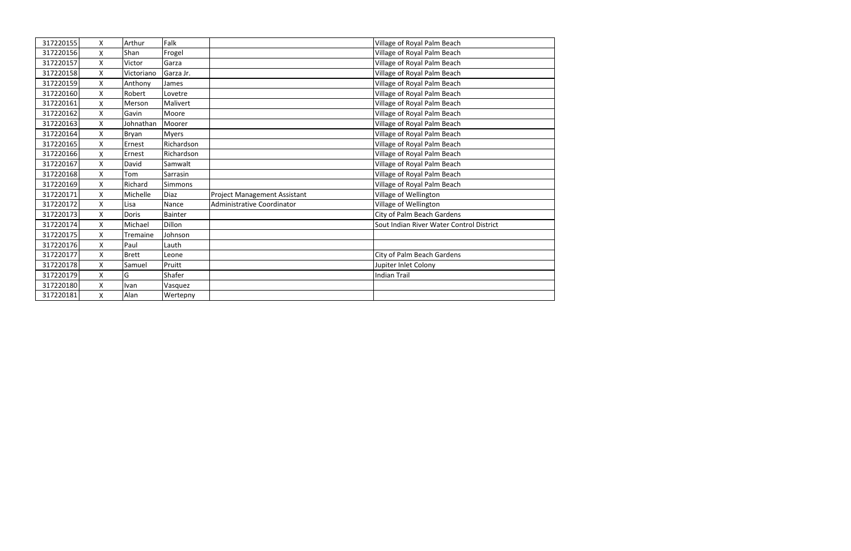| 317220155 | X                  | Arthur       | Falk           |                                     | Village of Royal Palm Beach              |
|-----------|--------------------|--------------|----------------|-------------------------------------|------------------------------------------|
| 317220156 | X                  | Shan         | Frogel         |                                     | Village of Royal Palm Beach              |
| 317220157 | X                  | Victor       | Garza          |                                     | Village of Royal Palm Beach              |
| 317220158 | X                  | Victoriano   | Garza Jr.      |                                     | Village of Royal Palm Beach              |
| 317220159 | X                  | Anthony      | James          |                                     | Village of Royal Palm Beach              |
| 317220160 | Χ                  | Robert       | Lovetre        |                                     | Village of Royal Palm Beach              |
| 317220161 | X                  | Merson       | Malivert       |                                     | Village of Royal Palm Beach              |
| 317220162 | X                  | Gavin        | Moore          |                                     | Village of Royal Palm Beach              |
| 317220163 | X                  | Johnathan    | Moorer         |                                     | Village of Royal Palm Beach              |
| 317220164 | X                  | Bryan        | <b>Myers</b>   |                                     | Village of Royal Palm Beach              |
| 317220165 | X                  | Ernest       | Richardson     |                                     | Village of Royal Palm Beach              |
| 317220166 | X                  | Ernest       | Richardson     |                                     | Village of Royal Palm Beach              |
| 317220167 | X                  | David        | Samwalt        |                                     | Village of Royal Palm Beach              |
| 317220168 | $\pmb{\mathsf{X}}$ | Tom          | Sarrasin       |                                     | Village of Royal Palm Beach              |
| 317220169 | $\mathsf{x}$       | Richard      | Simmons        |                                     | Village of Royal Palm Beach              |
| 317220171 | X                  | Michelle     | <b>Diaz</b>    | <b>Project Management Assistant</b> | Village of Wellington                    |
| 317220172 | X                  | Lisa         | Nance          | Administrative Coordinator          | Village of Wellington                    |
| 317220173 | X                  | Doris        | <b>Bainter</b> |                                     | City of Palm Beach Gardens               |
| 317220174 | X                  | Michael      | Dillon         |                                     | Sout Indian River Water Control District |
| 317220175 | X                  | Tremaine     | Johnson        |                                     |                                          |
| 317220176 | X                  | Paul         | Lauth          |                                     |                                          |
| 317220177 | $\mathsf{x}$       | <b>Brett</b> | Leone          |                                     | City of Palm Beach Gardens               |
| 317220178 | X                  | Samuel       | Pruitt         |                                     | Jupiter Inlet Colony                     |
| 317220179 | X                  | G            | Shafer         |                                     | <b>Indian Trail</b>                      |
| 317220180 | X                  | Ivan         | Vasquez        |                                     |                                          |
| 317220181 | X                  | Alan         | Wertepny       |                                     |                                          |